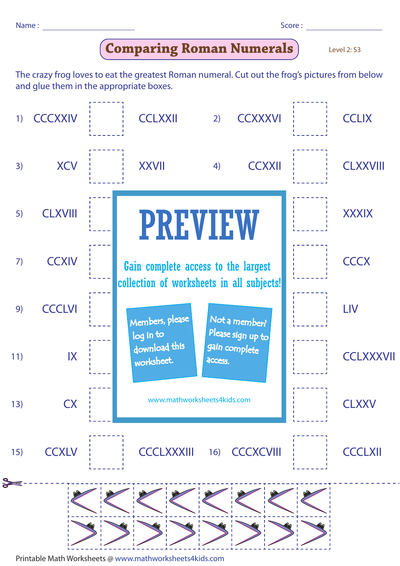Name : Score : Score : Score : Score : Score : Score : Score : Score : Score : Score : Score : Score : Score : Score : Score : Score : Score : Score : Score : Score : Score : Score : Score : Score : Score : Score : Score :

| u<br>۰, | ۰. | ۰. | ۰.<br>v. |  |
|---------|----|----|----------|--|
|         |    |    |          |  |

**Comparing Roman Numerals**

Level 2: S3

The crazy frog loves to eat the greatest Roman numeral. Cut out the frog's pictures from below and glue them in the appropriate boxes.



Printable Math Worksheets @ www.mathworksheets4kids.com